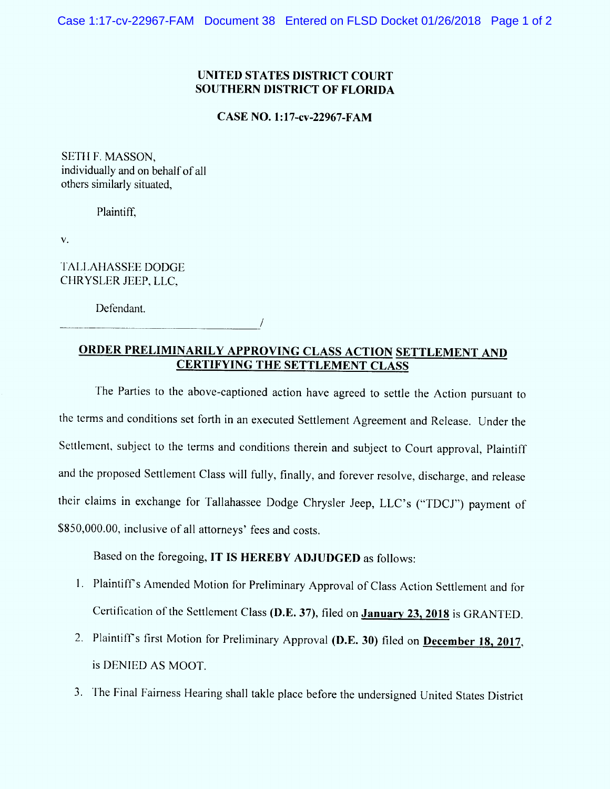## **UNITED STATES DISTRICT COURT SOUTHERN DISTRICT OF FLORIDA**

**CASE NO. 1:17-cv-22967-FAM** 

SETH F. MASSON, individually and on behalf of all others similarly situated.

Plaintiff,

V.

**TALLAHASSEE DODGE** CHRYSLER JEEP, LLC,

Defendant.

ORDER PRELIMINARILY APPROVING CLASS ACTION SETTLEMENT AND **CERTIFYING THE SETTLEMENT CLASS** 

The Parties to the above-captioned action have agreed to settle the Action pursuant to the terms and conditions set forth in an executed Settlement Agreement and Release. Under the Settlement, subject to the terms and conditions therein and subject to Court approval, Plaintiff and the proposed Settlement Class will fully, finally, and forever resolve, discharge, and release their claims in exchange for Tallahassee Dodge Chrysler Jeep, LLC's ("TDCJ") payment of \$850,000.00, inclusive of all attorneys' fees and costs.

Based on the foregoing, IT IS HEREBY ADJUDGED as follows:

- 1. Plaintiff's Amended Motion for Preliminary Approval of Class Action Settlement and for Certification of the Settlement Class (D.E. 37), filed on January 23, 2018 is GRANTED.
- 2. Plaintiff's first Motion for Preliminary Approval (D.E. 30) filed on December 18, 2017, is DENIED AS MOOT.
- 3. The Final Fairness Hearing shall takle place before the undersigned United States District